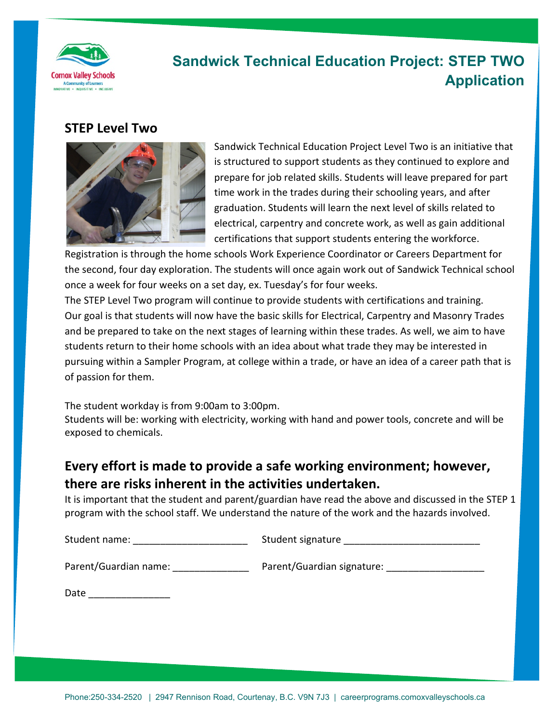

## **Sandwick Technical Education Project: STEP TWO Application**

#### **STEP Level Two**



Sandwick Technical Education Project Level Two is an initiative that is structured to support students as they continued to explore and prepare for job related skills. Students will leave prepared for part time work in the trades during their schooling years, and after graduation. Students will learn the next level of skills related to electrical, carpentry and concrete work, as well as gain additional certifications that support students entering the workforce.

Registration is through the home schools Work Experience Coordinator or Careers Department for the second, four day exploration. The students will once again work out of Sandwick Technical school once a week for four weeks on a set day, ex. Tuesday's for four weeks.

The STEP Level Two program will continue to provide students with certifications and training. Our goal is that students will now have the basic skills for Electrical, Carpentry and Masonry Trades and be prepared to take on the next stages of learning within these trades. As well, we aim to have students return to their home schools with an idea about what trade they may be interested in pursuing within a Sampler Program, at college within a trade, or have an idea of a career path that is of passion for them.

The student workday is from 9:00am to 3:00pm.

Students will be: working with electricity, working with hand and power tools, concrete and will be exposed to chemicals.

### **Every effort is made to provide a safe working environment; however, there are risks inherent in the activities undertaken.**

It is important that the student and parent/guardian have read the above and discussed in the STEP 1 program with the school staff. We understand the nature of the work and the hazards involved.

Student name: \_\_\_\_\_\_\_\_\_\_\_\_\_\_\_\_\_\_\_\_\_ Student signature \_\_\_\_\_\_\_\_\_\_\_\_\_\_\_\_\_\_\_\_\_\_\_\_\_

Parent/Guardian name: \_\_\_\_\_\_\_\_\_\_\_\_\_\_ Parent/Guardian signature: \_\_\_\_\_\_\_\_\_\_\_\_\_\_\_\_\_\_

Date  $\Box$